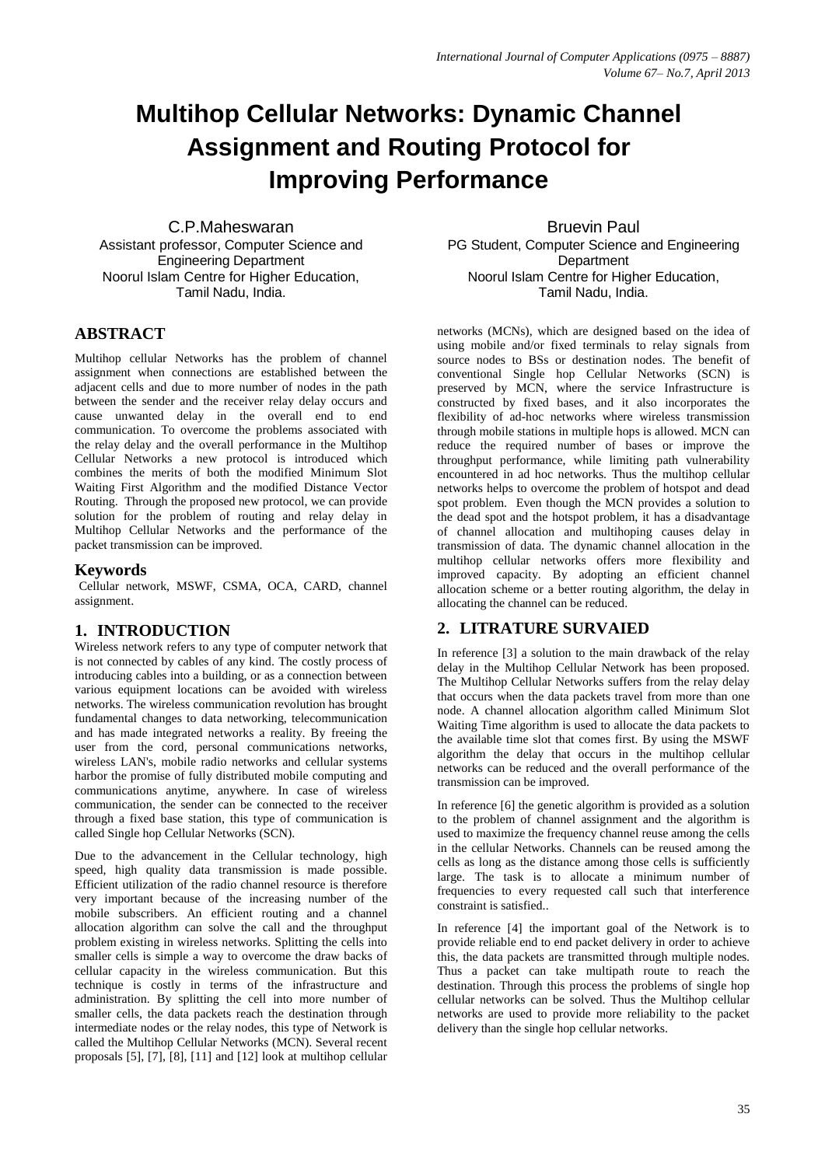# **Multihop Cellular Networks: Dynamic Channel Assignment and Routing Protocol for Improving Performance**

C.P.Maheswaran Assistant professor, Computer Science and Engineering Department Noorul Islam Centre for Higher Education, Tamil Nadu, India.

### **ABSTRACT**

Multihop cellular Networks has the problem of channel assignment when connections are established between the adjacent cells and due to more number of nodes in the path between the sender and the receiver relay delay occurs and cause unwanted delay in the overall end to end communication. To overcome the problems associated with the relay delay and the overall performance in the Multihop Cellular Networks a new protocol is introduced which combines the merits of both the modified Minimum Slot Waiting First Algorithm and the modified Distance Vector Routing. Through the proposed new protocol, we can provide solution for the problem of routing and relay delay in Multihop Cellular Networks and the performance of the packet transmission can be improved.

#### **Keywords**

Cellular network, MSWF, CSMA, OCA, CARD, channel assignment.

### **1. INTRODUCTION**

Wireless network refers to any type of computer network that is not connected by cables of any kind. The costly process of introducing cables into a building, or as a connection between various equipment locations can be avoided with wireless networks. The wireless communication revolution has brought fundamental changes to data networking, telecommunication and has made integrated networks a reality. By freeing the user from the cord, personal communications networks, wireless LAN's, mobile radio networks and cellular systems harbor the promise of fully distributed mobile computing and communications anytime, anywhere. In case of wireless communication, the sender can be connected to the receiver through a fixed base station, this type of communication is called Single hop Cellular Networks (SCN).

Due to the advancement in the Cellular technology, high speed, high quality data transmission is made possible. Efficient utilization of the radio channel resource is therefore very important because of the increasing number of the mobile subscribers. An efficient routing and a channel allocation algorithm can solve the call and the throughput problem existing in wireless networks. Splitting the cells into smaller cells is simple a way to overcome the draw backs of cellular capacity in the wireless communication. But this technique is costly in terms of the infrastructure and administration. By splitting the cell into more number of smaller cells, the data packets reach the destination through intermediate nodes or the relay nodes, this type of Network is called the Multihop Cellular Networks (MCN). Several recent proposals [5], [7], [8], [11] and [12] look at multihop cellular

Bruevin Paul PG Student, Computer Science and Engineering **Department** Noorul Islam Centre for Higher Education, Tamil Nadu, India.

networks (MCNs), which are designed based on the idea of using mobile and/or fixed terminals to relay signals from source nodes to BSs or destination nodes. The benefit of conventional Single hop Cellular Networks (SCN) is preserved by MCN, where the service Infrastructure is constructed by fixed bases, and it also incorporates the flexibility of ad-hoc networks where wireless transmission through mobile stations in multiple hops is allowed. MCN can reduce the required number of bases or improve the throughput performance, while limiting path vulnerability encountered in ad hoc networks. Thus the multihop cellular networks helps to overcome the problem of hotspot and dead spot problem. Even though the MCN provides a solution to the dead spot and the hotspot problem, it has a disadvantage of channel allocation and multihoping causes delay in transmission of data. The dynamic channel allocation in the multihop cellular networks offers more flexibility and improved capacity. By adopting an efficient channel allocation scheme or a better routing algorithm, the delay in allocating the channel can be reduced.

# **2. LITRATURE SURVAIED**

In reference [3] a solution to the main drawback of the relay delay in the Multihop Cellular Network has been proposed. The Multihop Cellular Networks suffers from the relay delay that occurs when the data packets travel from more than one node. A channel allocation algorithm called Minimum Slot Waiting Time algorithm is used to allocate the data packets to the available time slot that comes first. By using the MSWF algorithm the delay that occurs in the multihop cellular networks can be reduced and the overall performance of the transmission can be improved.

In reference [6] the genetic algorithm is provided as a solution to the problem of channel assignment and the algorithm is used to maximize the frequency channel reuse among the cells in the cellular Networks. Channels can be reused among the cells as long as the distance among those cells is sufficiently large. The task is to allocate a minimum number of frequencies to every requested call such that interference constraint is satisfied..

In reference [4] the important goal of the Network is to provide reliable end to end packet delivery in order to achieve this, the data packets are transmitted through multiple nodes. Thus a packet can take multipath route to reach the destination. Through this process the problems of single hop cellular networks can be solved. Thus the Multihop cellular networks are used to provide more reliability to the packet delivery than the single hop cellular networks.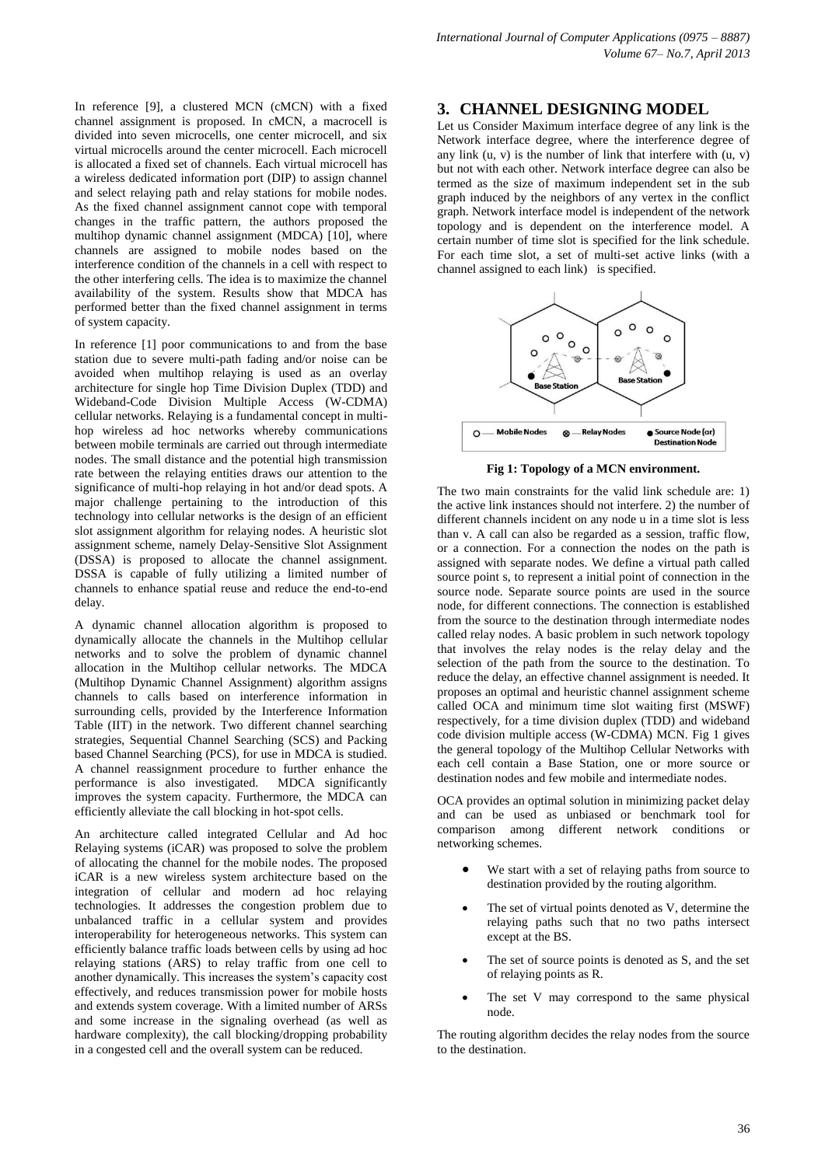In reference [9], a clustered MCN (cMCN) with a fixed channel assignment is proposed. In cMCN, a macrocell is divided into seven microcells, one center microcell, and six virtual microcells around the center microcell. Each microcell is allocated a fixed set of channels. Each virtual microcell has a wireless dedicated information port (DIP) to assign channel and select relaying path and relay stations for mobile nodes. As the fixed channel assignment cannot cope with temporal changes in the traffic pattern, the authors proposed the multihop dynamic channel assignment (MDCA) [10], where channels are assigned to mobile nodes based on the interference condition of the channels in a cell with respect to the other interfering cells. The idea is to maximize the channel availability of the system. Results show that MDCA has performed better than the fixed channel assignment in terms of system capacity.

In reference [1] poor communications to and from the base station due to severe multi-path fading and/or noise can be avoided when multihop relaying is used as an overlay architecture for single hop Time Division Duplex (TDD) and Wideband-Code Division Multiple Access (W-CDMA) cellular networks. Relaying is a fundamental concept in multihop wireless ad hoc networks whereby communications between mobile terminals are carried out through intermediate nodes. The small distance and the potential high transmission rate between the relaying entities draws our attention to the significance of multi-hop relaying in hot and/or dead spots. A major challenge pertaining to the introduction of this technology into cellular networks is the design of an efficient slot assignment algorithm for relaying nodes. A heuristic slot assignment scheme, namely Delay-Sensitive Slot Assignment (DSSA) is proposed to allocate the channel assignment. DSSA is capable of fully utilizing a limited number of channels to enhance spatial reuse and reduce the end-to-end delay.

A dynamic channel allocation algorithm is proposed to dynamically allocate the channels in the Multihop cellular networks and to solve the problem of dynamic channel allocation in the Multihop cellular networks. The MDCA (Multihop Dynamic Channel Assignment) algorithm assigns channels to calls based on interference information in surrounding cells, provided by the Interference Information Table (IIT) in the network. Two different channel searching strategies, Sequential Channel Searching (SCS) and Packing based Channel Searching (PCS), for use in MDCA is studied. A channel reassignment procedure to further enhance the performance is also investigated. MDCA significantly improves the system capacity. Furthermore, the MDCA can efficiently alleviate the call blocking in hot-spot cells.

An architecture called integrated Cellular and Ad hoc Relaying systems (iCAR) was proposed to solve the problem of allocating the channel for the mobile nodes. The proposed iCAR is a new wireless system architecture based on the integration of cellular and modern ad hoc relaying technologies. It addresses the congestion problem due to unbalanced traffic in a cellular system and provides interoperability for heterogeneous networks. This system can efficiently balance traffic loads between cells by using ad hoc relaying stations (ARS) to relay traffic from one cell to another dynamically. This increases the system's capacity cost effectively, and reduces transmission power for mobile hosts and extends system coverage. With a limited number of ARSs and some increase in the signaling overhead (as well as hardware complexity), the call blocking/dropping probability in a congested cell and the overall system can be reduced.

#### **3. CHANNEL DESIGNING MODEL**

Let us Consider Maximum interface degree of any link is the Network interface degree, where the interference degree of any link  $(u, v)$  is the number of link that interfere with  $(u, v)$ but not with each other. Network interface degree can also be termed as the size of maximum independent set in the sub graph induced by the neighbors of any vertex in the conflict graph. Network interface model is independent of the network topology and is dependent on the interference model. A certain number of time slot is specified for the link schedule. For each time slot, a set of multi-set active links (with a channel assigned to each link) is specified.



**Fig 1: Topology of a MCN environment.**

The two main constraints for the valid link schedule are: 1) the active link instances should not interfere. 2) the number of different channels incident on any node u in a time slot is less than v. A call can also be regarded as a session, traffic flow, or a connection. For a connection the nodes on the path is assigned with separate nodes. We define a virtual path called source point s, to represent a initial point of connection in the source node. Separate source points are used in the source node, for different connections. The connection is established from the source to the destination through intermediate nodes called relay nodes. A basic problem in such network topology that involves the relay nodes is the relay delay and the selection of the path from the source to the destination. To reduce the delay, an effective channel assignment is needed. It proposes an optimal and heuristic channel assignment scheme called OCA and minimum time slot waiting first (MSWF) respectively, for a time division duplex (TDD) and wideband code division multiple access (W-CDMA) MCN. Fig 1 gives the general topology of the Multihop Cellular Networks with each cell contain a Base Station, one or more source or destination nodes and few mobile and intermediate nodes.

OCA provides an optimal solution in minimizing packet delay and can be used as unbiased or benchmark tool for comparison among different network conditions or networking schemes.

- We start with a set of relaying paths from source to destination provided by the routing algorithm.
- The set of virtual points denoted as V, determine the relaying paths such that no two paths intersect except at the BS.
- The set of source points is denoted as S, and the set of relaying points as R.
- The set V may correspond to the same physical node.

The routing algorithm decides the relay nodes from the source to the destination.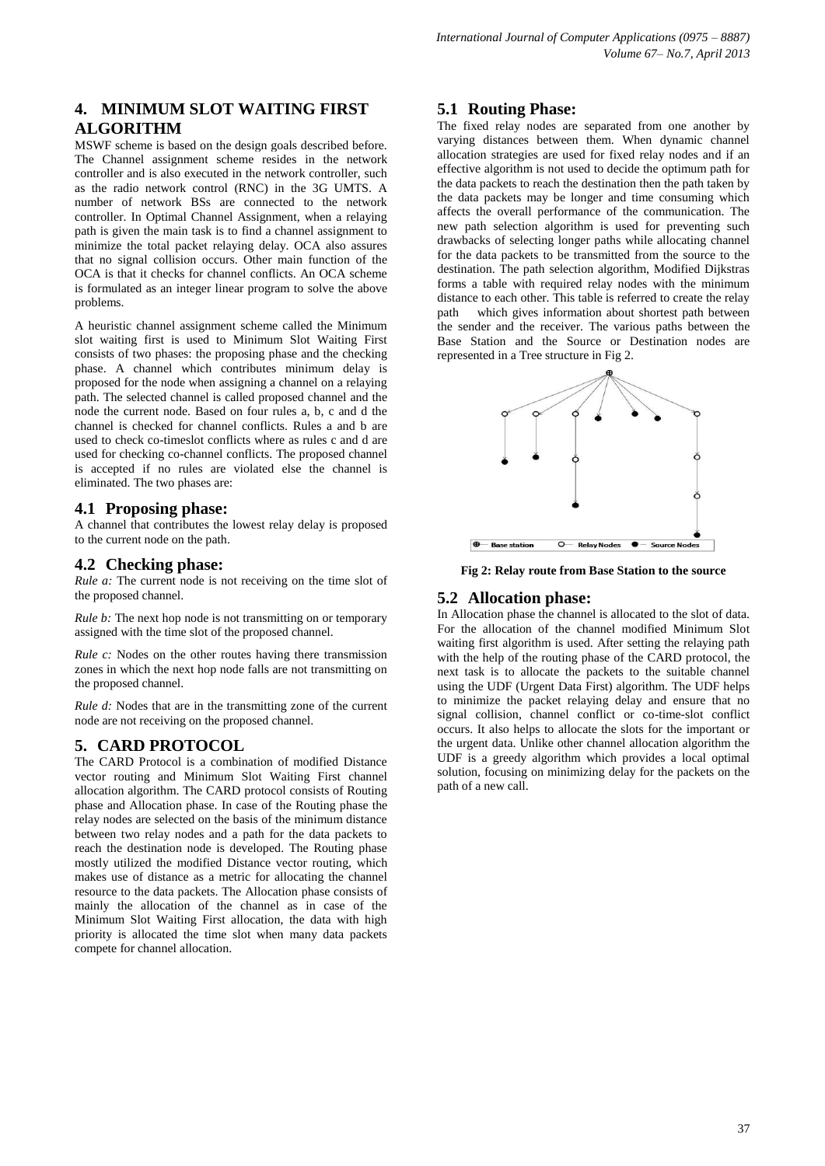## **4. MINIMUM SLOT WAITING FIRST ALGORITHM**

MSWF scheme is based on the design goals described before. The Channel assignment scheme resides in the network controller and is also executed in the network controller, such as the radio network control (RNC) in the 3G UMTS. A number of network BSs are connected to the network controller. In Optimal Channel Assignment, when a relaying path is given the main task is to find a channel assignment to minimize the total packet relaying delay. OCA also assures that no signal collision occurs. Other main function of the OCA is that it checks for channel conflicts. An OCA scheme is formulated as an integer linear program to solve the above problems.

A heuristic channel assignment scheme called the Minimum slot waiting first is used to Minimum Slot Waiting First consists of two phases: the proposing phase and the checking phase. A channel which contributes minimum delay is proposed for the node when assigning a channel on a relaying path. The selected channel is called proposed channel and the node the current node. Based on four rules a, b, c and d the channel is checked for channel conflicts. Rules a and b are used to check co-timeslot conflicts where as rules c and d are used for checking co-channel conflicts. The proposed channel is accepted if no rules are violated else the channel is eliminated. The two phases are:

#### **4.1 Proposing phase:**

A channel that contributes the lowest relay delay is proposed to the current node on the path.

#### **4.2 Checking phase:**

*Rule a:* The current node is not receiving on the time slot of the proposed channel.

*Rule b:* The next hop node is not transmitting on or temporary assigned with the time slot of the proposed channel.

*Rule c:* Nodes on the other routes having there transmission zones in which the next hop node falls are not transmitting on the proposed channel.

*Rule d:* Nodes that are in the transmitting zone of the current node are not receiving on the proposed channel.

### **5. CARD PROTOCOL**

The CARD Protocol is a combination of modified Distance vector routing and Minimum Slot Waiting First channel allocation algorithm. The CARD protocol consists of Routing phase and Allocation phase. In case of the Routing phase the relay nodes are selected on the basis of the minimum distance between two relay nodes and a path for the data packets to reach the destination node is developed. The Routing phase mostly utilized the modified Distance vector routing, which makes use of distance as a metric for allocating the channel resource to the data packets. The Allocation phase consists of mainly the allocation of the channel as in case of the Minimum Slot Waiting First allocation, the data with high priority is allocated the time slot when many data packets compete for channel allocation.

### **5.1 Routing Phase:**

The fixed relay nodes are separated from one another by varying distances between them. When dynamic channel allocation strategies are used for fixed relay nodes and if an effective algorithm is not used to decide the optimum path for the data packets to reach the destination then the path taken by the data packets may be longer and time consuming which affects the overall performance of the communication. The new path selection algorithm is used for preventing such drawbacks of selecting longer paths while allocating channel for the data packets to be transmitted from the source to the destination. The path selection algorithm, Modified Dijkstras forms a table with required relay nodes with the minimum distance to each other. This table is referred to create the relay path which gives information about shortest path between the sender and the receiver. The various paths between the Base Station and the Source or Destination nodes are represented in a Tree structure in Fig 2.



**Fig 2: Relay route from Base Station to the source**

#### **5.2 Allocation phase:**

In Allocation phase the channel is allocated to the slot of data. For the allocation of the channel modified Minimum Slot waiting first algorithm is used. After setting the relaying path with the help of the routing phase of the CARD protocol, the next task is to allocate the packets to the suitable channel using the UDF (Urgent Data First) algorithm. The UDF helps to minimize the packet relaying delay and ensure that no signal collision, channel conflict or co-time-slot conflict occurs. It also helps to allocate the slots for the important or the urgent data. Unlike other channel allocation algorithm the UDF is a greedy algorithm which provides a local optimal solution, focusing on minimizing delay for the packets on the path of a new call.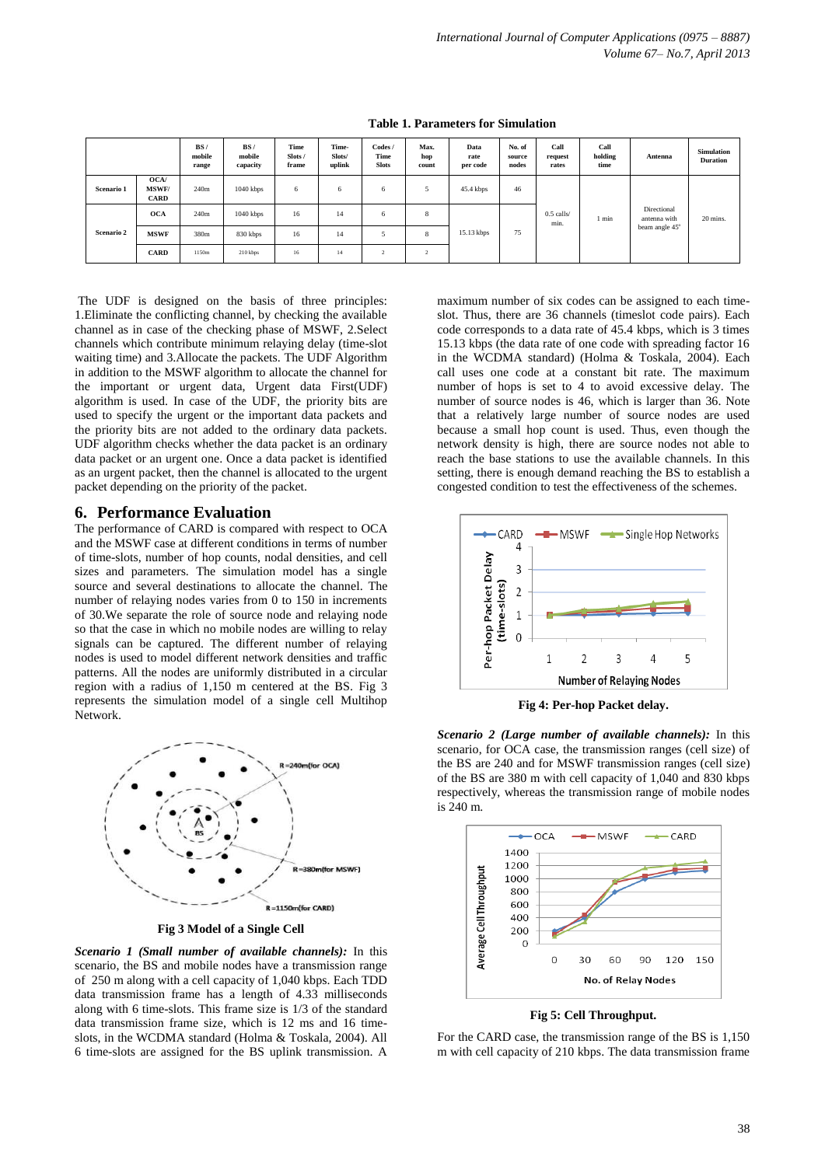|            |                                     | BS/<br>mobile<br>range | BS/<br>mobile<br>capacity | Time<br>Slots/<br>frame | Time-<br>Slots/<br>uplink | Codes /<br>Time<br><b>Slots</b> | Max.<br>hop<br>count | Data<br>rate<br>per code | No. of<br>source<br>nodes | Call<br>request<br>rates | Call<br>holding<br>time | Antenna                                       | <b>Simulation</b><br><b>Duration</b> |
|------------|-------------------------------------|------------------------|---------------------------|-------------------------|---------------------------|---------------------------------|----------------------|--------------------------|---------------------------|--------------------------|-------------------------|-----------------------------------------------|--------------------------------------|
| Scenario 1 | OCA/<br><b>MSWF/</b><br><b>CARD</b> | 240m                   | $1040$ kbps               | 6                       | 6                         | 6                               |                      | 45.4 kbps                | 46                        | $0.5$ calls/<br>min.     | l min                   | Directional<br>antenna with<br>beam angle 45° | 20 mins.                             |
| Scenario 2 | <b>OCA</b>                          | 240m                   | $1040$ kbps               | 16                      | 14                        | <sub>0</sub>                    | 8                    |                          |                           |                          |                         |                                               |                                      |
|            | <b>MSWF</b>                         | 380m                   | 830 kbps                  | 16                      | 14                        |                                 | 8                    | 15.13 kbps               | 75                        |                          |                         |                                               |                                      |
|            | <b>CARD</b>                         | 1150m                  | 210 kbps                  | 16                      | 14                        | ×                               | $\sim$<br>∸          |                          |                           |                          |                         |                                               |                                      |

**Table 1. Parameters for Simulation**

The UDF is designed on the basis of three principles: 1.Eliminate the conflicting channel, by checking the available channel as in case of the checking phase of MSWF, 2.Select channels which contribute minimum relaying delay (time-slot waiting time) and 3.Allocate the packets. The UDF Algorithm in addition to the MSWF algorithm to allocate the channel for the important or urgent data, Urgent data First(UDF) algorithm is used. In case of the UDF, the priority bits are used to specify the urgent or the important data packets and the priority bits are not added to the ordinary data packets. UDF algorithm checks whether the data packet is an ordinary data packet or an urgent one. Once a data packet is identified as an urgent packet, then the channel is allocated to the urgent packet depending on the priority of the packet.

#### **6. Performance Evaluation**

The performance of CARD is compared with respect to OCA and the MSWF case at different conditions in terms of number of time-slots, number of hop counts, nodal densities, and cell sizes and parameters. The simulation model has a single source and several destinations to allocate the channel. The number of relaying nodes varies from 0 to 150 in increments of 30.We separate the role of source node and relaying node so that the case in which no mobile nodes are willing to relay signals can be captured. The different number of relaying nodes is used to model different network densities and traffic patterns. All the nodes are uniformly distributed in a circular region with a radius of 1,150 m centered at the BS. Fig 3 represents the simulation model of a single cell Multihop Network.



**Fig 3 Model of a Single Cell**

*Scenario 1 (Small number of available channels):* In this scenario, the BS and mobile nodes have a transmission range of 250 m along with a cell capacity of 1,040 kbps. Each TDD data transmission frame has a length of 4.33 milliseconds along with 6 time-slots. This frame size is 1/3 of the standard data transmission frame size, which is 12 ms and 16 timeslots, in the WCDMA standard (Holma & Toskala, 2004). All 6 time-slots are assigned for the BS uplink transmission. A

maximum number of six codes can be assigned to each timeslot. Thus, there are 36 channels (timeslot code pairs). Each code corresponds to a data rate of 45.4 kbps, which is 3 times 15.13 kbps (the data rate of one code with spreading factor 16 in the WCDMA standard) (Holma & Toskala, 2004). Each call uses one code at a constant bit rate. The maximum number of hops is set to 4 to avoid excessive delay. The number of source nodes is 46, which is larger than 36. Note that a relatively large number of source nodes are used because a small hop count is used. Thus, even though the network density is high, there are source nodes not able to reach the base stations to use the available channels. In this setting, there is enough demand reaching the BS to establish a congested condition to test the effectiveness of the schemes.



**Fig 4: Per-hop Packet delay.**

*Scenario 2 (Large number of available channels):* In this scenario, for OCA case, the transmission ranges (cell size) of the BS are 240 and for MSWF transmission ranges (cell size) of the BS are 380 m with cell capacity of 1,040 and 830 kbps respectively, whereas the transmission range of mobile nodes is 240 m.



**Fig 5: Cell Throughput.**

For the CARD case, the transmission range of the BS is 1,150 m with cell capacity of 210 kbps. The data transmission frame